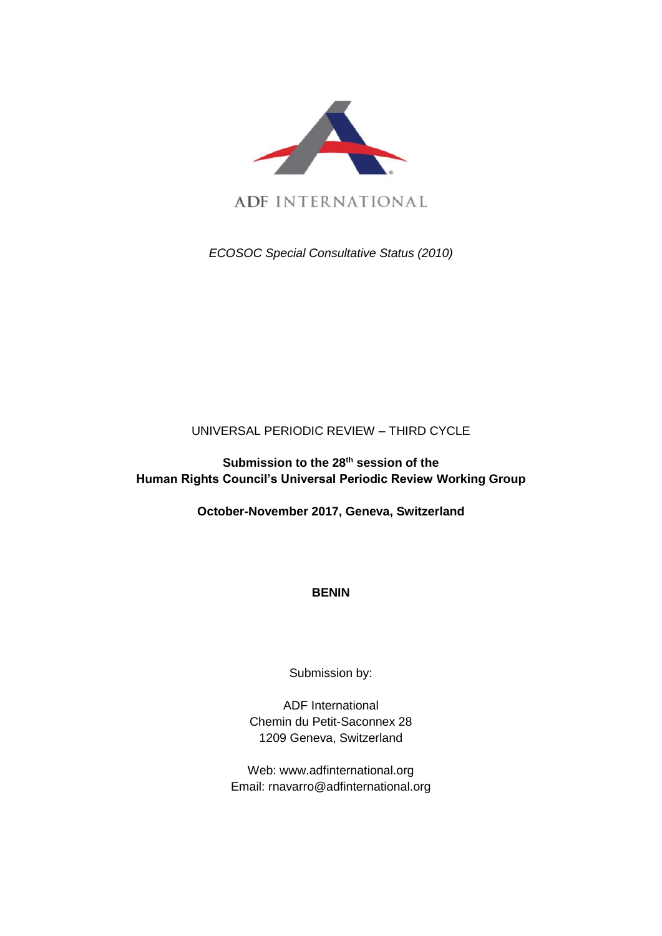

**ADF INTERNATIONAL** 

*ECOSOC Special Consultative Status (2010)*

# UNIVERSAL PERIODIC REVIEW – THIRD CYCLE

**Submission to the 28th session of the Human Rights Council's Universal Periodic Review Working Group**

**October-November 2017, Geneva, Switzerland**

**BENIN**

Submission by:

ADF International Chemin du Petit-Saconnex 28 1209 Geneva, Switzerland

Web: www.adfinternational.org Email: rnavarro@adfinternational.org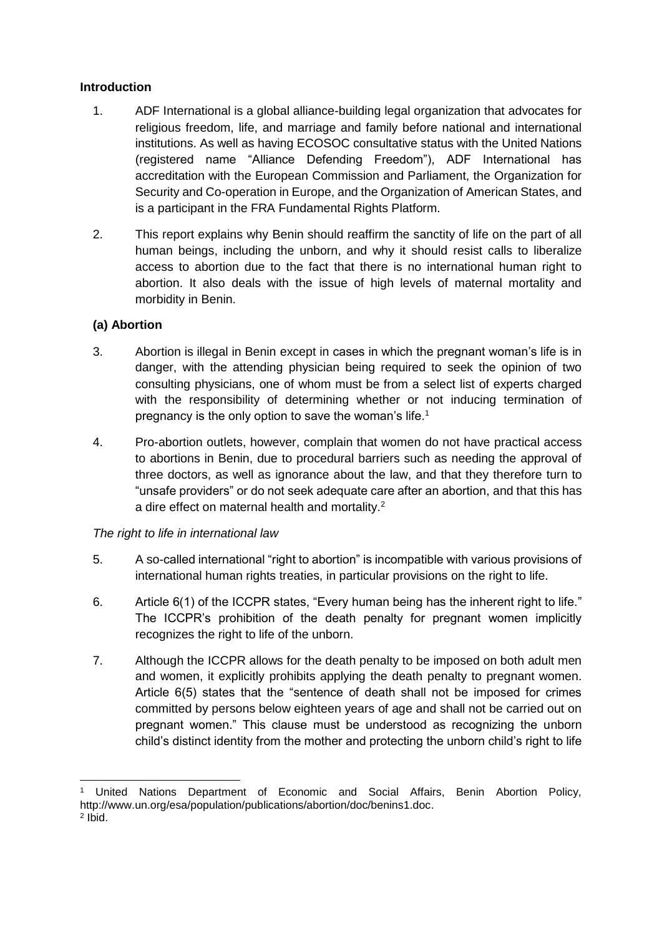# **Introduction**

- 1. ADF International is a global alliance-building legal organization that advocates for religious freedom, life, and marriage and family before national and international institutions. As well as having ECOSOC consultative status with the United Nations (registered name "Alliance Defending Freedom"), ADF International has accreditation with the European Commission and Parliament, the Organization for Security and Co-operation in Europe, and the Organization of American States, and is a participant in the FRA Fundamental Rights Platform.
- 2. This report explains why Benin should reaffirm the sanctity of life on the part of all human beings, including the unborn, and why it should resist calls to liberalize access to abortion due to the fact that there is no international human right to abortion. It also deals with the issue of high levels of maternal mortality and morbidity in Benin.

### **(a) Abortion**

-

- 3. Abortion is illegal in Benin except in cases in which the pregnant woman's life is in danger, with the attending physician being required to seek the opinion of two consulting physicians, one of whom must be from a select list of experts charged with the responsibility of determining whether or not inducing termination of pregnancy is the only option to save the woman's life.<sup>1</sup>
- 4. Pro-abortion outlets, however, complain that women do not have practical access to abortions in Benin, due to procedural barriers such as needing the approval of three doctors, as well as ignorance about the law, and that they therefore turn to "unsafe providers" or do not seek adequate care after an abortion, and that this has a dire effect on maternal health and mortality.<sup>2</sup>

#### *The right to life in international law*

- 5. A so-called international "right to abortion" is incompatible with various provisions of international human rights treaties, in particular provisions on the right to life.
- 6. Article 6(1) of the ICCPR states, "Every human being has the inherent right to life." The ICCPR's prohibition of the death penalty for pregnant women implicitly recognizes the right to life of the unborn.
- 7. Although the ICCPR allows for the death penalty to be imposed on both adult men and women, it explicitly prohibits applying the death penalty to pregnant women. Article 6(5) states that the "sentence of death shall not be imposed for crimes committed by persons below eighteen years of age and shall not be carried out on pregnant women." This clause must be understood as recognizing the unborn child's distinct identity from the mother and protecting the unborn child's right to life

<sup>1</sup> United Nations Department of Economic and Social Affairs, Benin Abortion Policy, http://www.un.org/esa/population/publications/abortion/doc/benins1.doc. 2 Ibid.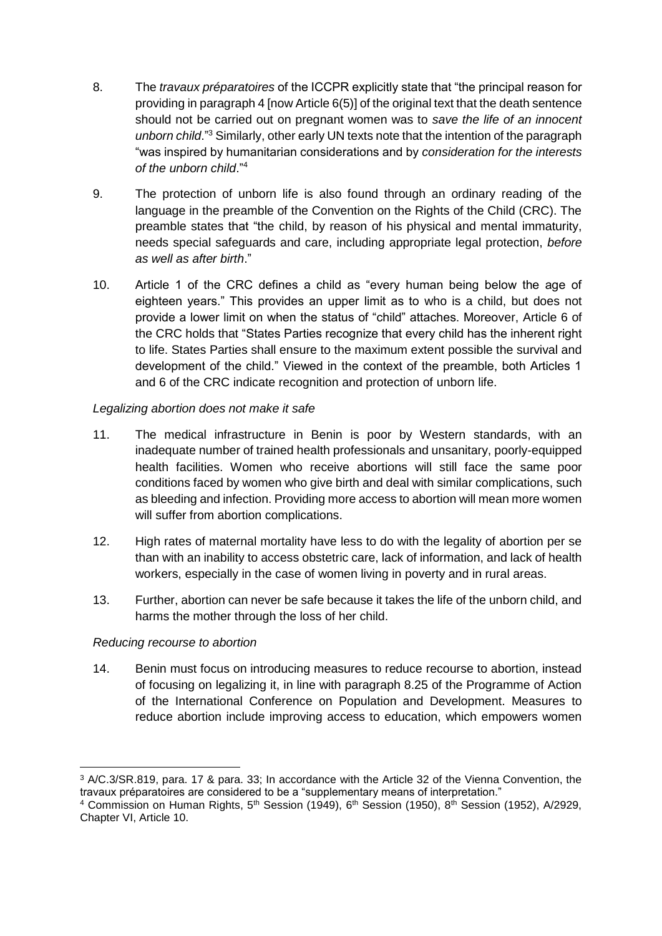- 8. The *travaux préparatoires* of the ICCPR explicitly state that "the principal reason for providing in paragraph 4 [now Article 6(5)] of the original text that the death sentence should not be carried out on pregnant women was to *save the life of an innocent unborn child*."<sup>3</sup> Similarly, other early UN texts note that the intention of the paragraph "was inspired by humanitarian considerations and by *consideration for the interests of the unborn child*."<sup>4</sup>
- 9. The protection of unborn life is also found through an ordinary reading of the language in the preamble of the Convention on the Rights of the Child (CRC). The preamble states that "the child, by reason of his physical and mental immaturity, needs special safeguards and care, including appropriate legal protection, *before as well as after birth*."
- 10. Article 1 of the CRC defines a child as "every human being below the age of eighteen years." This provides an upper limit as to who is a child, but does not provide a lower limit on when the status of "child" attaches. Moreover, Article 6 of the CRC holds that "States Parties recognize that every child has the inherent right to life. States Parties shall ensure to the maximum extent possible the survival and development of the child." Viewed in the context of the preamble, both Articles 1 and 6 of the CRC indicate recognition and protection of unborn life.

# *Legalizing abortion does not make it safe*

- 11. The medical infrastructure in Benin is poor by Western standards, with an inadequate number of trained health professionals and unsanitary, poorly-equipped health facilities. Women who receive abortions will still face the same poor conditions faced by women who give birth and deal with similar complications, such as bleeding and infection. Providing more access to abortion will mean more women will suffer from abortion complications.
- 12. High rates of maternal mortality have less to do with the legality of abortion per se than with an inability to access obstetric care, lack of information, and lack of health workers, especially in the case of women living in poverty and in rural areas.
- 13. Further, abortion can never be safe because it takes the life of the unborn child, and harms the mother through the loss of her child.

#### *Reducing recourse to abortion*

-

14. Benin must focus on introducing measures to reduce recourse to abortion, instead of focusing on legalizing it, in line with paragraph 8.25 of the Programme of Action of the International Conference on Population and Development. Measures to reduce abortion include improving access to education, which empowers women

<sup>3</sup> A/C.3/SR.819, para. 17 & para. 33; In accordance with the Article 32 of the Vienna Convention, the travaux préparatoires are considered to be a "supplementary means of interpretation."

<sup>&</sup>lt;sup>4</sup> Commission on Human Rights, 5<sup>th</sup> Session (1949), 6<sup>th</sup> Session (1950), 8<sup>th</sup> Session (1952), A/2929, Chapter VI, Article 10.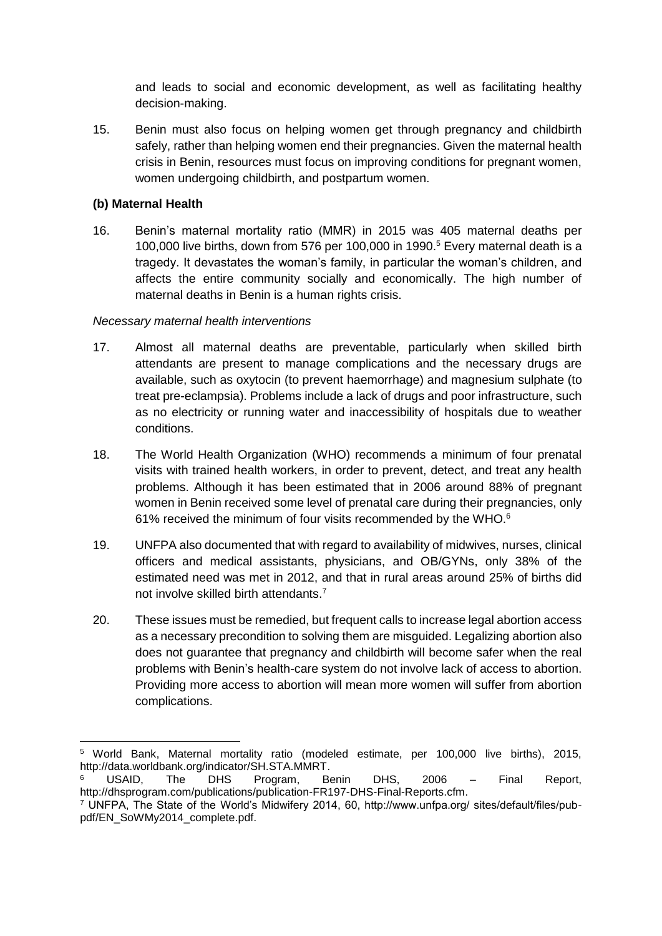and leads to social and economic development, as well as facilitating healthy decision-making.

15. Benin must also focus on helping women get through pregnancy and childbirth safely, rather than helping women end their pregnancies. Given the maternal health crisis in Benin, resources must focus on improving conditions for pregnant women, women undergoing childbirth, and postpartum women.

# **(b) Maternal Health**

16. Benin's maternal mortality ratio (MMR) in 2015 was 405 maternal deaths per 100,000 live births, down from 576 per 100,000 in 1990.<sup>5</sup> Every maternal death is a tragedy. It devastates the woman's family, in particular the woman's children, and affects the entire community socially and economically. The high number of maternal deaths in Benin is a human rights crisis.

### *Necessary maternal health interventions*

- 17. Almost all maternal deaths are preventable, particularly when skilled birth attendants are present to manage complications and the necessary drugs are available, such as oxytocin (to prevent haemorrhage) and magnesium sulphate (to treat pre-eclampsia). Problems include a lack of drugs and poor infrastructure, such as no electricity or running water and inaccessibility of hospitals due to weather conditions.
- 18. The World Health Organization (WHO) recommends a minimum of four prenatal visits with trained health workers, in order to prevent, detect, and treat any health problems. Although it has been estimated that in 2006 around 88% of pregnant women in Benin received some level of prenatal care during their pregnancies, only 61% received the minimum of four visits recommended by the WHO.<sup>6</sup>
- 19. UNFPA also documented that with regard to availability of midwives, nurses, clinical officers and medical assistants, physicians, and OB/GYNs, only 38% of the estimated need was met in 2012, and that in rural areas around 25% of births did not involve skilled birth attendants.<sup>7</sup>
- 20. These issues must be remedied, but frequent calls to increase legal abortion access as a necessary precondition to solving them are misguided. Legalizing abortion also does not guarantee that pregnancy and childbirth will become safer when the real problems with Benin's health-care system do not involve lack of access to abortion. Providing more access to abortion will mean more women will suffer from abortion complications.

<sup>-</sup><sup>5</sup> World Bank, Maternal mortality ratio (modeled estimate, per 100,000 live births), 2015, http://data.worldbank.org/indicator/SH.STA.MMRT.

<sup>6</sup> USAID, The DHS Program, Benin DHS, 2006 – Final Report, http://dhsprogram.com/publications/publication-FR197-DHS-Final-Reports.cfm.

<sup>7</sup> UNFPA, The State of the World's Midwifery 2014, 60, http://www.unfpa.org/ sites/default/files/pubpdf/EN\_SoWMy2014\_complete.pdf.